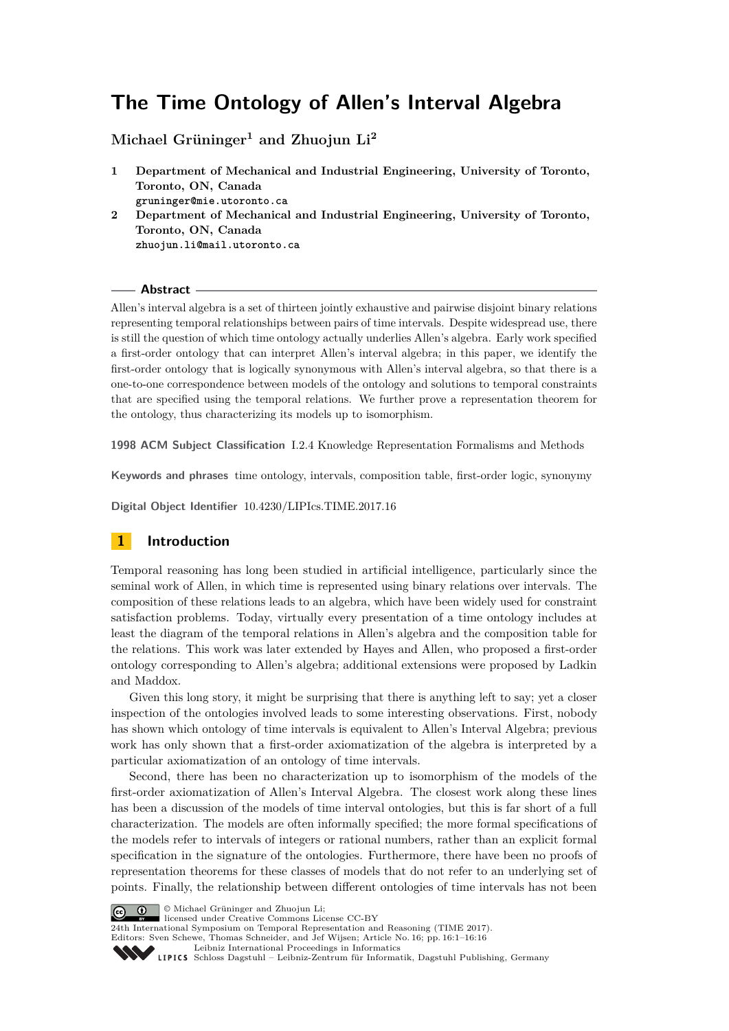# **The Time Ontology of Allen's Interval Algebra**

**Michael Grüninger<sup>1</sup> and Zhuojun Li<sup>2</sup>**

- **1 Department of Mechanical and Industrial Engineering, University of Toronto, Toronto, ON, Canada gruninger@mie.utoronto.ca**
- **2 Department of Mechanical and Industrial Engineering, University of Toronto, Toronto, ON, Canada zhuojun.li@mail.utoronto.ca**

#### **Abstract**

Allen's interval algebra is a set of thirteen jointly exhaustive and pairwise disjoint binary relations representing temporal relationships between pairs of time intervals. Despite widespread use, there is still the question of which time ontology actually underlies Allen's algebra. Early work specified a first-order ontology that can interpret Allen's interval algebra; in this paper, we identify the first-order ontology that is logically synonymous with Allen's interval algebra, so that there is a one-to-one correspondence between models of the ontology and solutions to temporal constraints that are specified using the temporal relations. We further prove a representation theorem for the ontology, thus characterizing its models up to isomorphism.

**1998 ACM Subject Classification** I.2.4 Knowledge Representation Formalisms and Methods

**Keywords and phrases** time ontology, intervals, composition table, first-order logic, synonymy

**Digital Object Identifier** [10.4230/LIPIcs.TIME.2017.16](http://dx.doi.org/10.4230/LIPIcs.TIME.2017.16)

# **1 Introduction**

Temporal reasoning has long been studied in artificial intelligence, particularly since the seminal work of Allen, in which time is represented using binary relations over intervals. The composition of these relations leads to an algebra, which have been widely used for constraint satisfaction problems. Today, virtually every presentation of a time ontology includes at least the diagram of the temporal relations in Allen's algebra and the composition table for the relations. This work was later extended by Hayes and Allen, who proposed a first-order ontology corresponding to Allen's algebra; additional extensions were proposed by Ladkin and Maddox.

Given this long story, it might be surprising that there is anything left to say; yet a closer inspection of the ontologies involved leads to some interesting observations. First, nobody has shown which ontology of time intervals is equivalent to Allen's Interval Algebra; previous work has only shown that a first-order axiomatization of the algebra is interpreted by a particular axiomatization of an ontology of time intervals.

Second, there has been no characterization up to isomorphism of the models of the first-order axiomatization of Allen's Interval Algebra. The closest work along these lines has been a discussion of the models of time interval ontologies, but this is far short of a full characterization. The models are often informally specified; the more formal specifications of the models refer to intervals of integers or rational numbers, rather than an explicit formal specification in the signature of the ontologies. Furthermore, there have been no proofs of representation theorems for these classes of models that do not refer to an underlying set of points. Finally, the relationship between different ontologies of time intervals has not been



**c**  $\bullet$   $\bullet$  Michael Grüninger and Zhuojun Li:

licensed under Creative Commons License CC-BY

24th International Symposium on Temporal Representation and Reasoning (TIME 2017). Editors: Sven Schewe, Thomas Schneider, and Jef Wijsen; Article No. 16; pp. 16:1–16[:16](#page-15-0)

[Leibniz International Proceedings in Informatics](http://www.dagstuhl.de/lipics/)

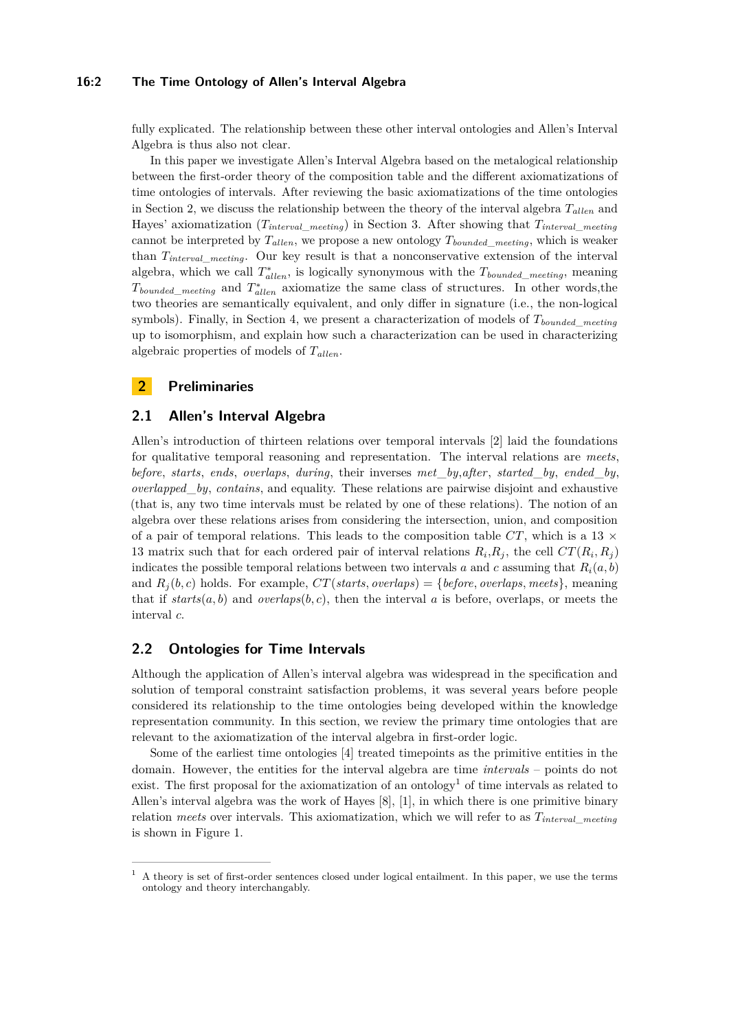#### **16:2 The Time Ontology of Allen's Interval Algebra**

fully explicated. The relationship between these other interval ontologies and Allen's Interval Algebra is thus also not clear.

In this paper we investigate Allen's Interval Algebra based on the metalogical relationship between the first-order theory of the composition table and the different axiomatizations of time ontologies of intervals. After reviewing the basic axiomatizations of the time ontologies in Section [2,](#page-1-0) we discuss the relationship between the theory of the interval algebra  $T_{\text{allen}}$  and Hayes' axiomatization  $(T_{interval\_median})$  in Section [3.](#page-3-0) After showing that  $T_{interval\_median}$ cannot be interpreted by  $T_{\text{allen}}$ , we propose a new ontology  $T_{\text{bounded\_ meeting}}$ , which is weaker than *Tinterval*\_*meeting*. Our key result is that a nonconservative extension of the interval algebra, which we call  $T_{\text{allen}}^*$ , is logically synonymous with the  $T_{\text{bounded\_ meeting}}$ , meaning  $T_{bounded\_ meeting}$  and  $T_{allen}^*$  axiomatize the same class of structures. In other words,the two theories are semantically equivalent, and only differ in signature (i.e., the non-logical symbols). Finally, in Section [4,](#page-8-0) we present a characterization of models of *Tbounded*\_*meeting* up to isomorphism, and explain how such a characterization can be used in characterizing algebraic properties of models of  $T_{\text{allen}}$ .

### <span id="page-1-0"></span>**2 Preliminaries**

#### **2.1 Allen's Interval Algebra**

Allen's introduction of thirteen relations over temporal intervals [\[2\]](#page-14-0) laid the foundations for qualitative temporal reasoning and representation. The interval relations are *meets*, *before*, *starts*, *ends*, *overlaps*, *during*, their inverses *met*\_*by*,*after*, *started*\_*by*, *ended*\_*by*, *overlapped*\_*by*, *contains*, and equality. These relations are pairwise disjoint and exhaustive (that is, any two time intervals must be related by one of these relations). The notion of an algebra over these relations arises from considering the intersection, union, and composition of a pair of temporal relations. This leads to the composition table  $CT$ , which is a 13  $\times$ 13 matrix such that for each ordered pair of interval relations  $R_i, R_j$ , the cell  $CT(R_i, R_j)$ indicates the possible temporal relations between two intervals *a* and *c* assuming that  $R_i(a, b)$ and  $R_i(b, c)$  holds. For example,  $CT(sants, overallaps) = \{before, overlaps, meets\}$ , meaning that if  $starts(a, b)$  and  $overlaps(b, c)$ , then the interval *a* is before, overlaps, or meets the interval *c*.

### **2.2 Ontologies for Time Intervals**

Although the application of Allen's interval algebra was widespread in the specification and solution of temporal constraint satisfaction problems, it was several years before people considered its relationship to the time ontologies being developed within the knowledge representation community. In this section, we review the primary time ontologies that are relevant to the axiomatization of the interval algebra in first-order logic.

Some of the earliest time ontologies [\[4\]](#page-14-1) treated timepoints as the primitive entities in the domain. However, the entities for the interval algebra are time *intervals* – points do not exist. The first proposal for the axiomatization of an ontology<sup>[1](#page-1-1)</sup> of time intervals as related to Allen's interval algebra was the work of Hayes [\[8\]](#page-14-2), [\[1\]](#page-14-3), in which there is one primitive binary relation *meets* over intervals. This axiomatization, which we will refer to as *Tinterval*\_*meeting* is shown in Figure [1.](#page-2-0)

<span id="page-1-1"></span> $<sup>1</sup>$  A theory is set of first-order sentences closed under logical entailment. In this paper, we use the terms</sup> ontology and theory interchangably.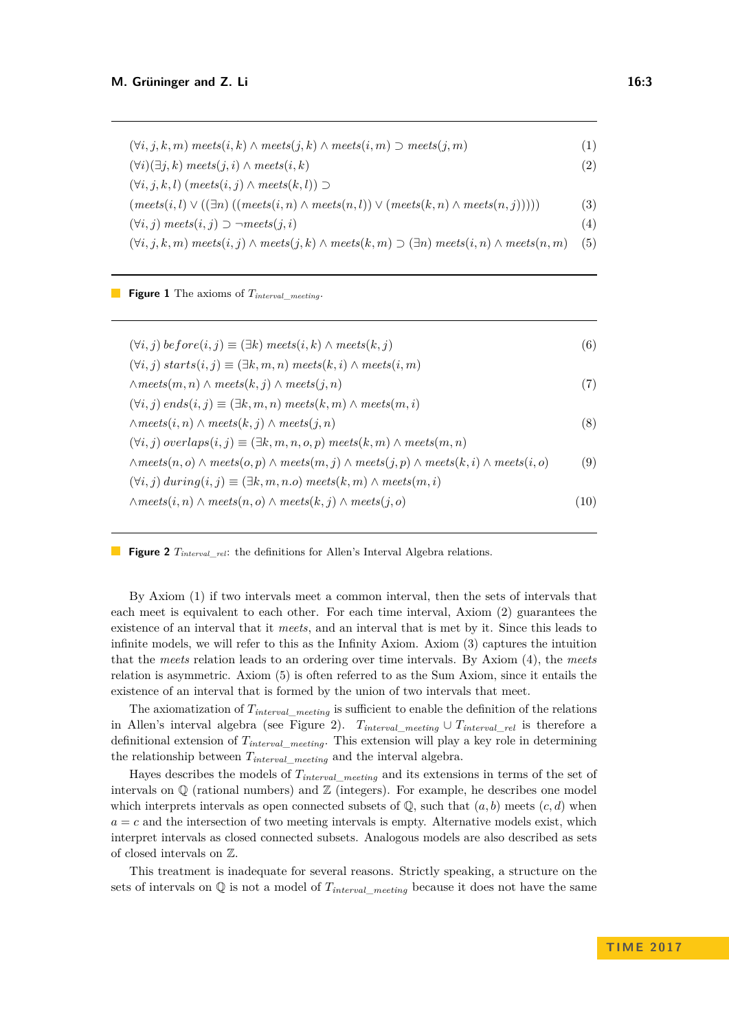<span id="page-2-0"></span> $(∀i, j, k, m)$   $mets(i, k) \land meets(j, k) \land meets(i, m)$  ⊃  $mets(j, m)$  (1)  $(∀i)(∃j,k)$  *meets* $(i,i) \wedge \textit{meets}(i,k)$  (2) (∀*i, j, k, l*) (*meets*(*i, j*) ∧ *meets*(*k, l*)) ⊃  $(mets(i, l) \vee ((\exists n)((meets(i, n) \wedge meets(n, l)) \vee (meets(k, n) \wedge meets(n, j))))$  (3)  $(∀i, j)$  *meets* $(i, j)$  ⊃  $\neg meets(i, i)$  (4)  $(∀i, j, k, m)$  meets $(i, j) \wedge meets(j, k) \wedge meets(k, m) \supseteq (∃n)$  meets $(i, n) \wedge meets(n, m)$  (5)

<span id="page-2-1"></span>**Figure 1** The axioms of *Tinterval*\_*meeting*.

 $(\forall i, j)$  *be fore* $(i, j) \equiv (\exists k)$  *meets* $(i, k) \land$  *meets* $(k, j)$  (6)  $(\forall i, j)$  *starts* $(i, j) \equiv (\exists k, m, n)$  *meets* $(k, i) \land$  *meets* $(i, m)$ ∧*meets*(*m, n*) ∧ *meets*(*k, j*) ∧ *meets*(*j, n*) (7)  $(\forall i, j)$  *ends* $(i, j) \equiv (\exists k, m, n)$  *meets* $(k, m) \land$  *meets* $(m, i)$ ∧*meets*(*i, n*) ∧ *meets*(*k, j*) ∧ *meets*(*j, n*) (8)  $(\forall i, j) \text{ overlaps}(i, j) \equiv (\exists k, m, n, o, p) \text{ meets}(k, m) \land \text{meets}(m, n)$ ∧*meets*(*n, o*) ∧ *meets*(*o, p*) ∧ *meets*(*m, j*) ∧ *meets*(*j, p*) ∧ *meets*(*k, i*) ∧ *meets*(*i, o*) (9)  $(\forall i, j)$  *during* $(i, j) \equiv (\exists k, m, n.$ *o*)  $meets(k, m) \land meets(m, i)$ ∧*meets*(*i, n*) ∧ *meets*(*n, o*) ∧ *meets*(*k, j*) ∧ *meets*(*j, o*) (10)

**Figure 2** *Tinterval*\_*rel*: the definitions for Allen's Interval Algebra relations.

By Axiom (1) if two intervals meet a common interval, then the sets of intervals that each meet is equivalent to each other. For each time interval, Axiom (2) guarantees the existence of an interval that it *meets*, and an interval that is met by it. Since this leads to infinite models, we will refer to this as the Infinity Axiom. Axiom (3) captures the intuition that the *meets* relation leads to an ordering over time intervals. By Axiom (4), the *meets* relation is asymmetric. Axiom (5) is often referred to as the Sum Axiom, since it entails the existence of an interval that is formed by the union of two intervals that meet.

The axiomatization of *Tinterval*\_*meeting* is sufficient to enable the definition of the relations in Allen's interval algebra (see Figure [2\)](#page-2-1).  $T_{interval\_metal} \cup T_{interval\_rel}$  is therefore a definitional extension of *Tinterval*\_*meeting*. This extension will play a key role in determining the relationship between *Tinterval*\_*meeting* and the interval algebra.

Hayes describes the models of *Tinterval*\_*meeting* and its extensions in terms of the set of intervals on  $\mathbb Q$  (rational numbers) and  $\mathbb Z$  (integers). For example, he describes one model which interprets intervals as open connected subsets of  $\mathbb{Q}$ , such that  $(a, b)$  meets  $(c, d)$  when  $a = c$  and the intersection of two meeting intervals is empty. Alternative models exist, which interpret intervals as closed connected subsets. Analogous models are also described as sets of closed intervals on Z.

This treatment is inadequate for several reasons. Strictly speaking, a structure on the sets of intervals on  $\mathbb{Q}$  is not a model of  $T_{interval\_metal}$  because it does not have the same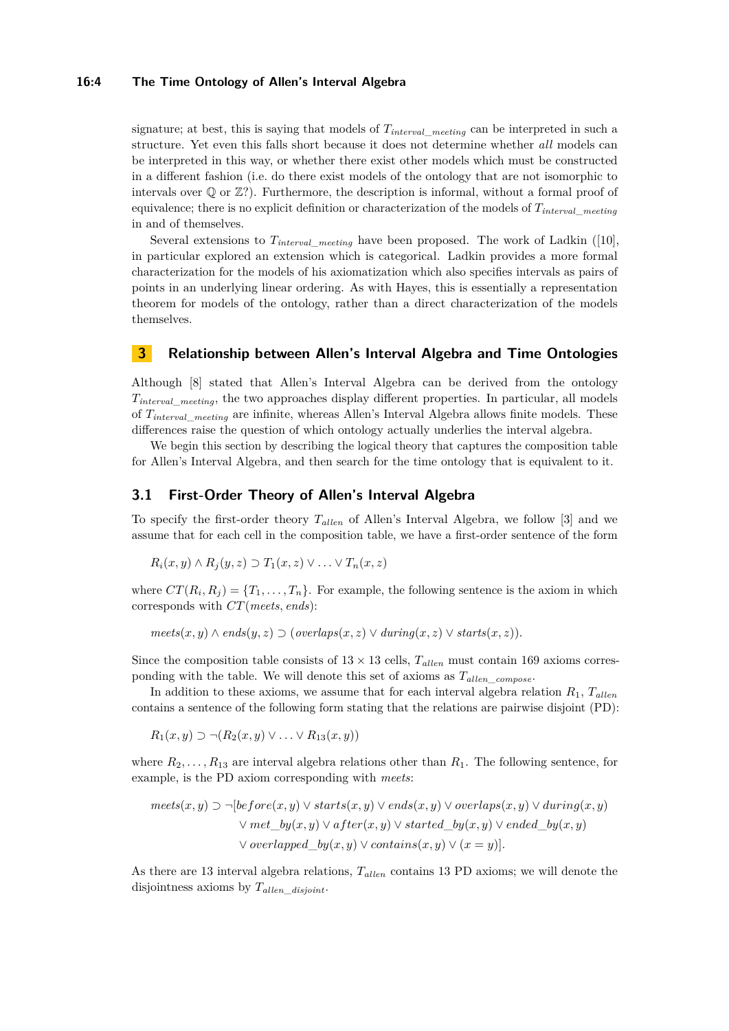#### **16:4 The Time Ontology of Allen's Interval Algebra**

signature; at best, this is saying that models of *Tinterval*\_*meeting* can be interpreted in such a structure. Yet even this falls short because it does not determine whether *all* models can be interpreted in this way, or whether there exist other models which must be constructed in a different fashion (i.e. do there exist models of the ontology that are not isomorphic to intervals over Q or Z?). Furthermore, the description is informal, without a formal proof of equivalence; there is no explicit definition or characterization of the models of *Tinterval*\_*meeting* in and of themselves.

Several extensions to *Tinterval*\_*meeting* have been proposed. The work of Ladkin ([\[10\]](#page-15-1), in particular explored an extension which is categorical. Ladkin provides a more formal characterization for the models of his axiomatization which also specifies intervals as pairs of points in an underlying linear ordering. As with Hayes, this is essentially a representation theorem for models of the ontology, rather than a direct characterization of the models themselves.

# <span id="page-3-0"></span>**3 Relationship between Allen's Interval Algebra and Time Ontologies**

Although [\[8\]](#page-14-2) stated that Allen's Interval Algebra can be derived from the ontology *Tinterval*\_*meeting*, the two approaches display different properties. In particular, all models of *Tinterval*\_*meeting* are infinite, whereas Allen's Interval Algebra allows finite models. These differences raise the question of which ontology actually underlies the interval algebra.

We begin this section by describing the logical theory that captures the composition table for Allen's Interval Algebra, and then search for the time ontology that is equivalent to it.

#### **3.1 First-Order Theory of Allen's Interval Algebra**

To specify the first-order theory  $T_{\text{allen}}$  of Allen's Interval Algebra, we follow [\[3\]](#page-14-4) and we assume that for each cell in the composition table, we have a first-order sentence of the form

$$
R_i(x, y) \wedge R_j(y, z) \supset T_1(x, z) \vee \ldots \vee T_n(x, z)
$$

where  $CT(R_i, R_j) = \{T_1, \ldots, T_n\}$ . For example, the following sentence is the axiom in which corresponds with *CT*(*meets, ends*):

 $meets(x, y) \wedge ends(y, z) \supset (overlaps(x, z) \vee during(x, z) \vee starts(x, z)).$ 

Since the composition table consists of  $13 \times 13$  cells,  $T_{\text{allen}}$  must contain 169 axioms corresponding with the table. We will denote this set of axioms as  $T_{\text{allen}}$  compose.

In addition to these axioms, we assume that for each interval algebra relation  $R_1$ ,  $T_{\text{allen}}$ contains a sentence of the following form stating that the relations are pairwise disjoint (PD):

$$
R_1(x,y) \supset \neg (R_2(x,y) \vee \ldots \vee R_{13}(x,y))
$$

where  $R_2, \ldots, R_{13}$  are interval algebra relations other than  $R_1$ . The following sentence, for example, is the PD axiom corresponding with *meets*:

$$
meets(x, y) \supset \neg [before(x, y) \lor starts(x, y) \lor ends(x, y) \lor overlaps(x, y) \lor during(x, y) \lor met_by(x, y) \lor after(x, y) \lor started_by(x, y) \lor ended_by(x, y) \lor overlapped_by(x, y) \lor contains(x, y) \lor (x = y)].
$$

As there are 13 interval algebra relations,  $T_{\text{allen}}$  contains 13 PD axioms; we will denote the disjointness axioms by *Tal len*\_*disjoint*.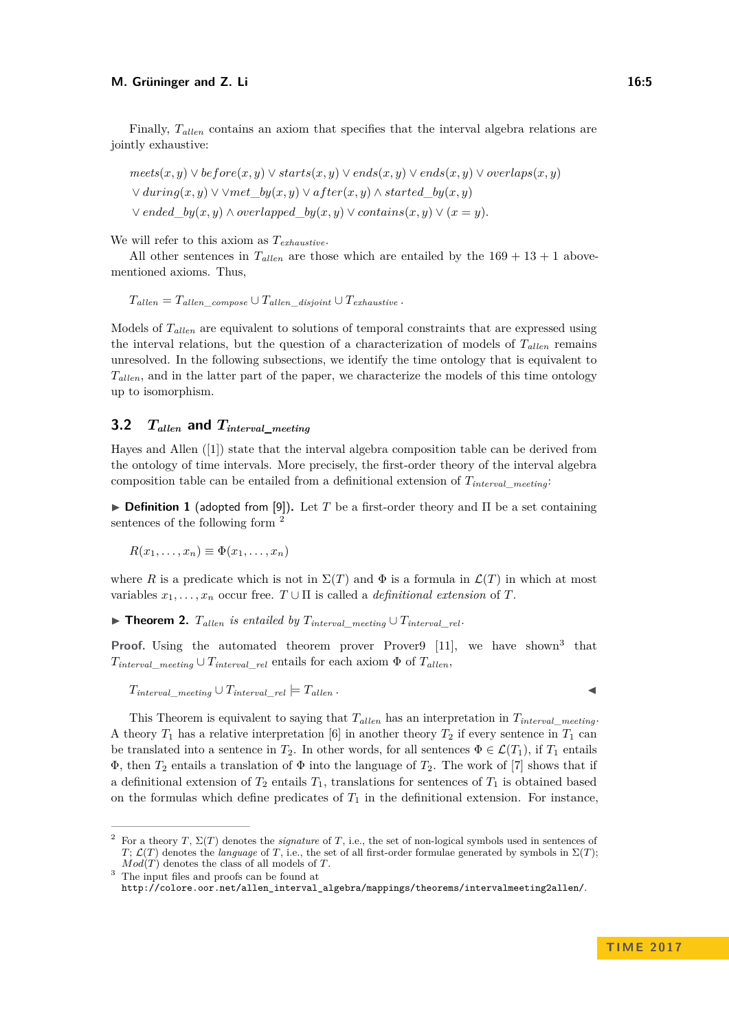Finally,  $T_{\text{allen}}$  contains an axiom that specifies that the interval algebra relations are jointly exhaustive:

 $mets(x, y) \lor before(x, y) \lor starts(x, y) \lor ends(x, y) \lor ends(x, y) \lor overlaps(x, y)$ ∨ *during*(*x, y*) ∨ ∨*met*\_*by*(*x, y*) ∨ *af ter*(*x, y*) ∧ *started*\_*by*(*x, y*)  $∨$  *ended*  $by(x, y) ∧ overlapped$   $by(x, y) ∨ contains(x, y) ∨ (x = y)$ .

We will refer to this axiom as *Texhaustive*.

All other sentences in  $T_{\text{allen}}$  are those which are entailed by the  $169 + 13 + 1$  abovementioned axioms. Thus,

 $T_{\text{allen}} = T_{\text{allen}}$  *compose* ∪  $T_{\text{allen}}$  *disjoint* ∪  $T_{\text{exhaustive}}$  *.* 

Models of  $T_{allen}$  are equivalent to solutions of temporal constraints that are expressed using the interval relations, but the question of a characterization of models of  $T_{\text{allen}}$  remains unresolved. In the following subsections, we identify the time ontology that is equivalent to *Tal len*, and in the latter part of the paper, we characterize the models of this time ontology up to isomorphism.

# **3.2**  $T_{\text{other}}$  and  $T_{\text{interval}}$  meeting

Hayes and Allen ([\[1\]](#page-14-3)) state that the interval algebra composition table can be derived from the ontology of time intervals. More precisely, the first-order theory of the interval algebra composition table can be entailed from a definitional extension of *Tinterval*\_*meeting*:

**Definition 1** (adopted from [\[9\]](#page-15-2)). Let *T* be a first-order theory and  $\Pi$  be a set containing sentences of the following form [2](#page-4-0)

 $R(x_1, ..., x_n) \equiv \Phi(x_1, ..., x_n)$ 

where *R* is a predicate which is not in  $\Sigma(T)$  and  $\Phi$  is a formula in  $\mathcal{L}(T)$  in which at most variables  $x_1, \ldots, x_n$  occur free.  $T \cup \Pi$  is called a *definitional extension* of  $T$ .

<span id="page-4-2"></span>▶ **Theorem 2.**  $T_{allen}$  is entailed by  $T_{interval}$  meeting  $\cup$   $T_{interval}$  rel·

**Proof.** Using the automated theorem prover Prover9 [\[11\]](#page-15-3), we have shown<sup>[3](#page-4-1)</sup> that  $T_{interval}$  *meeting* ∪  $T_{interval}$  *rel* entails for each axiom  $\Phi$  of  $T_{allen}$ ,

 $T_{interval}$  meeting  $\cup$   $T_{interval}$   $rel$   $=$   $T_{allen}$ .

This Theorem is equivalent to saying that  $T_{\text{allen}}$  has an interpretation in  $T_{\text{interval} -\text{meeting}}$ . A theory  $T_1$  has a relative interpretation [\[6\]](#page-14-5) in another theory  $T_2$  if every sentence in  $T_1$  can be translated into a sentence in  $T_2$ . In other words, for all sentences  $\Phi \in \mathcal{L}(T_1)$ , if  $T_1$  entails  $\Phi$ , then  $T_2$  entails a translation of  $\Phi$  into the language of  $T_2$ . The work of [\[7\]](#page-14-6) shows that if a definitional extension of  $T_2$  entails  $T_1$ , translations for sentences of  $T_1$  is obtained based

[http://colore.oor.net/allen\\_interval\\_algebra/mappings/theorems/intervalmeeting2allen/](http://colore.oor.net/allen_interval_algebra/mappings/theorems/intervalmeeting2allen/).

on the formulas which define predicates of  $T_1$  in the definitional extension. For instance,

<span id="page-4-0"></span><sup>2</sup> For a theory *T*, Σ(*T*) denotes the *signature* of *T*, i.e., the set of non-logical symbols used in sentences of *T*;  $\mathcal{L}(T)$  denotes the *language* of *T*, i.e., the set of all first-order formulae generated by symbols in  $\Sigma(T)$ ; *Mod*(*T*) denotes the class of all models of *T*.

<span id="page-4-1"></span><sup>&</sup>lt;sup>3</sup> The input files and proofs can be found at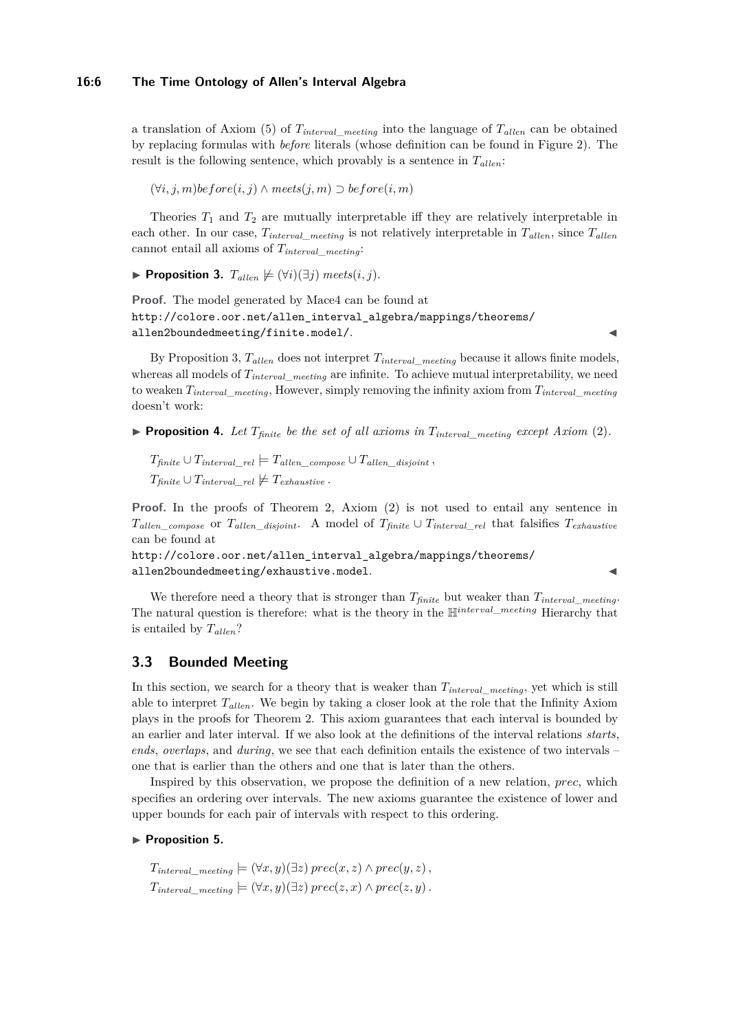#### **16:6 The Time Ontology of Allen's Interval Algebra**

a translation of Axiom (5) of  $T_{interval}$  *meeting* into the language of  $T_{allen}$  can be obtained by replacing formulas with *before* literals (whose definition can be found in Figure [2\)](#page-2-1). The result is the following sentence, which provably is a sentence in  $T_{\text{allen}}$ :

(∀*i, j, m*)*before*(*i, j*) ∧ *meets*(*j, m*) ⊃ *before*(*i, m*)

Theories  $T_1$  and  $T_2$  are mutually interpretable iff they are relatively interpretable in each other. In our case,  $T_{interval\_ meeting}$  is not relatively interpretable in  $T_{allen}$ , since  $T_{allen}$ cannot entail all axioms of *Tinterval*\_*meeting*:

<span id="page-5-0"></span>▶ **Proposition 3.**  $T_{\text{allow}} \not\equiv (\forall i)(\exists j)$  *meets*(*i, j*).

**Proof.** The model generated by Mace4 can be found at [http://colore.oor.net/allen\\_interval\\_algebra/mappings/theorems/](http://colore.oor.net/allen_interval_algebra/mappings/theorems/allen2boundedmeeting/finite.model/) [allen2boundedmeeting/finite.model/](http://colore.oor.net/allen_interval_algebra/mappings/theorems/allen2boundedmeeting/finite.model/).

By Proposition [3,](#page-5-0)  $T_{\text{allen}}$  does not interpret  $T_{\text{interval}}$  *meeting* because it allows finite models, whereas all models of  $T_{interval\_metal}$  are infinite. To achieve mutual interpretability, we need to weaken *Tinterval*\_*meeting*, However, simply removing the infinity axiom from *Tinterval*\_*meeting* doesn't work:

**Proposition 4.** Let  $T_{finite}$  be the set of all axioms in  $T_{interval}$  meeting except Axiom (2).

 $T_{finite} \cup T_{interval}$   $_{rel} \models T_{allen}$  compose  $\cup T_{allen}$  disjoint,  $T_{finite} \cup T_{interval}$   $rel \neq T_{exhaustive}$ .

**Proof.** In the proofs of Theorem [2,](#page-4-2) Axiom (2) is not used to entail any sentence in  $T_{\text{allen\_composite}}$  or  $T_{\text{allen\_disjoint}}$ . A model of  $T_{\text{finite}} \cup T_{\text{interval\_rel}}$  that falsifies  $T_{\text{exhaustive}}$ can be found at

[http://colore.oor.net/allen\\_interval\\_algebra/mappings/theorems/](http://colore.oor.net/allen_interval_algebra/mappings/theorems/allen2boundedmeeting/exhaustive.model) [allen2boundedmeeting/exhaustive.model](http://colore.oor.net/allen_interval_algebra/mappings/theorems/allen2boundedmeeting/exhaustive.model).

We therefore need a theory that is stronger than *Tfinite* but weaker than *Tinterval*\_*meeting*. The natural question is therefore: what is the theory in the H*interval*\_*meeting* Hierarchy that is entailed by  $T_{allen}$ ?

### **3.3 Bounded Meeting**

In this section, we search for a theory that is weaker than *Tinterval*\_*meeting*, yet which is still able to interpret  $T_{\text{allen}}$ . We begin by taking a closer look at the role that the Infinity Axiom plays in the proofs for Theorem [2.](#page-4-2) This axiom guarantees that each interval is bounded by an earlier and later interval. If we also look at the definitions of the interval relations *starts*, *ends*, *overlaps*, and *during*, we see that each definition entails the existence of two intervals – one that is earlier than the others and one that is later than the others.

Inspired by this observation, we propose the definition of a new relation, *prec*, which specifies an ordering over intervals. The new axioms guarantee the existence of lower and upper bounds for each pair of intervals with respect to this ordering.

#### **Proposition 5.**

 $T_{interval\_median} \models (\forall x, y)(\exists z) \text{ } prec(x, z) \land prec(y, z)$  $T_{interval\_meeting} \models (\forall x, y)(\exists z) \text{ } prec(z, x) \land prec(z, y)$ .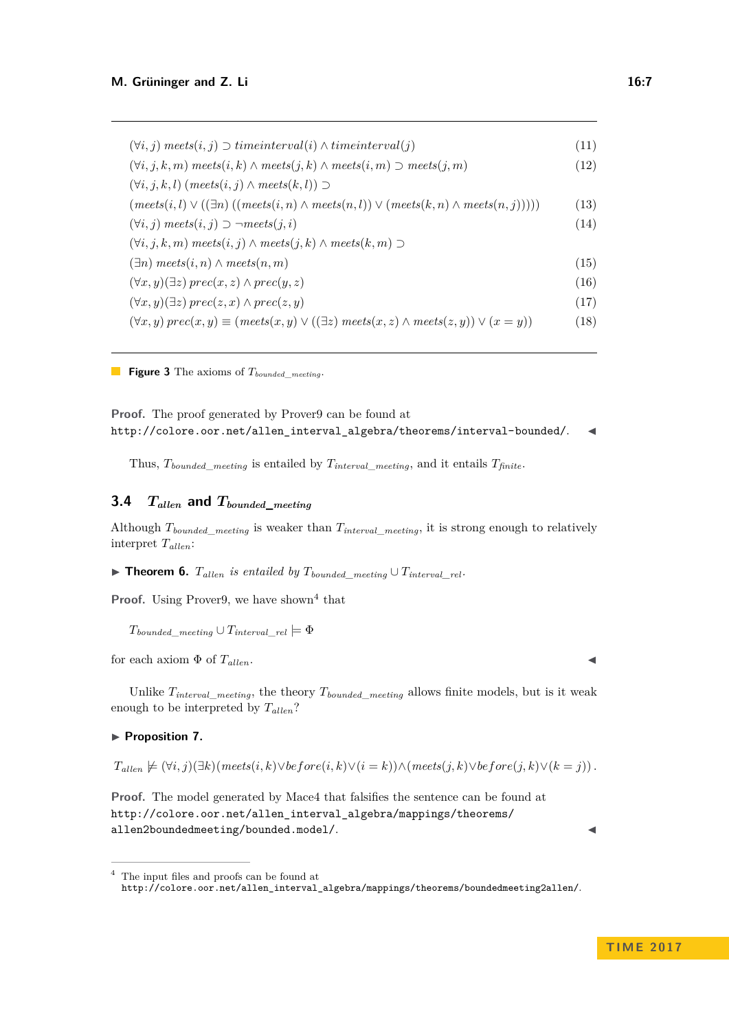$(∀i, j)$  *meets* $(i, j)$   $\sup$  *timeinterval* $(i)$   $\wedge$  *timeinterval* $(j)$  (11)  $(∀i, j, k, m)$   $mets(i, k) \land meets(j, k) \land meets(i, m)$  ⊃  $mets(j, m)$  (12) (∀*i, j, k, l*) (*meets*(*i, j*) ∧ *meets*(*k, l*)) ⊃  $(mets(i, l) \vee ((\exists n)((meets(i, n) \wedge meets(n, l)) \vee (meets(k, n) \wedge meets(n, j))))$  (13)  $(∀i, j)$  *meets* $(i, j)$  ⊃  $\neg meets(j, i)$  (14) (∀*i, j, k, m*) *meets*(*i, j*) ∧ *meets*(*j, k*) ∧ *meets*(*k, m*) ⊃  $(\exists n) \text{ meets}(i, n) \land \text{meets}(n, m)$  (15)  $(∀x, y)(∃z) prec(x, z) ∧ prec(y, z)$  (16)  $(∀x, y)(∃z) prec(z, x) ∧ prec(z, y)$  (17)  $(\forall x, y) \text{ prec}(x, y) \equiv \text{(mets}(x, y) \lor (\exists z) \text{ meets}(x, z) \land \text{meets}(z, y) \lor (x = y))$  (18)

**Figure 3** The axioms of *Tbounded*\_*meeting*.

**Proof.** The proof generated by Prover<sub>9</sub> can be found at [http://colore.oor.net/allen\\_interval\\_algebra/theorems/interval-bounded/](http://colore.oor.net/allen_interval_algebra/theorems/interval-bounded/).

Thus,  $T_{bounded\_ meeting}$  is entailed by  $T_{interval\_ meeting}$ , and it entails  $T_{finite}$ .

# **3.4** *Tallen* **and** *Tbounded***\_***meeting*

Although  $T_{bounded\ meeting}$  is weaker than  $T_{interval\ meeting}$ , it is strong enough to relatively interpret  $T_{\text{allen}}$ :

▶ **Theorem 6.**  $T_{allen}$  is entailed by  $T_{bounded\_meeting} \cup T_{interval\_rel}$ .

**Proof.** Using Prover<sub>9</sub>, we have shown<sup>[4](#page-6-0)</sup> that

 $T_{bounded\_median} \cup T_{interval\_rel} = \Phi$ 

for each axiom  $\Phi$  of  $T_{\text{allen}}$ .

Unlike  $T_{interval}$  *meeting*, the theory  $T_{bounded}$  *meeting* allows finite models, but is it weak enough to be interpreted by  $T_{\text{allen}}$ ?

#### ▶ Proposition 7.

 $T_{\text{allen}} \not\models (\forall i, j)(\exists k)(\text{mets}(i, k) \lor \text{before}(i, k) \lor (i = k)) \land (\text{mnets}(j, k) \lor \text{before}(j, k) \lor (k = j)).$ 

**Proof.** The model generated by Mace4 that falsifies the sentence can be found at [http://colore.oor.net/allen\\_interval\\_algebra/mappings/theorems/](http://colore.oor.net/allen_interval_algebra/mappings/theorems/allen2boundedmeeting/bounded.model/) [allen2boundedmeeting/bounded.model/](http://colore.oor.net/allen_interval_algebra/mappings/theorems/allen2boundedmeeting/bounded.model/).

<span id="page-6-0"></span><sup>4</sup> The input files and proofs can be found at [http://colore.oor.net/allen\\_interval\\_algebra/mappings/theorems/boundedmeeting2allen/](http://colore.oor.net/allen_interval_algebra/mappings/theorems/boundedmeeting2allen/).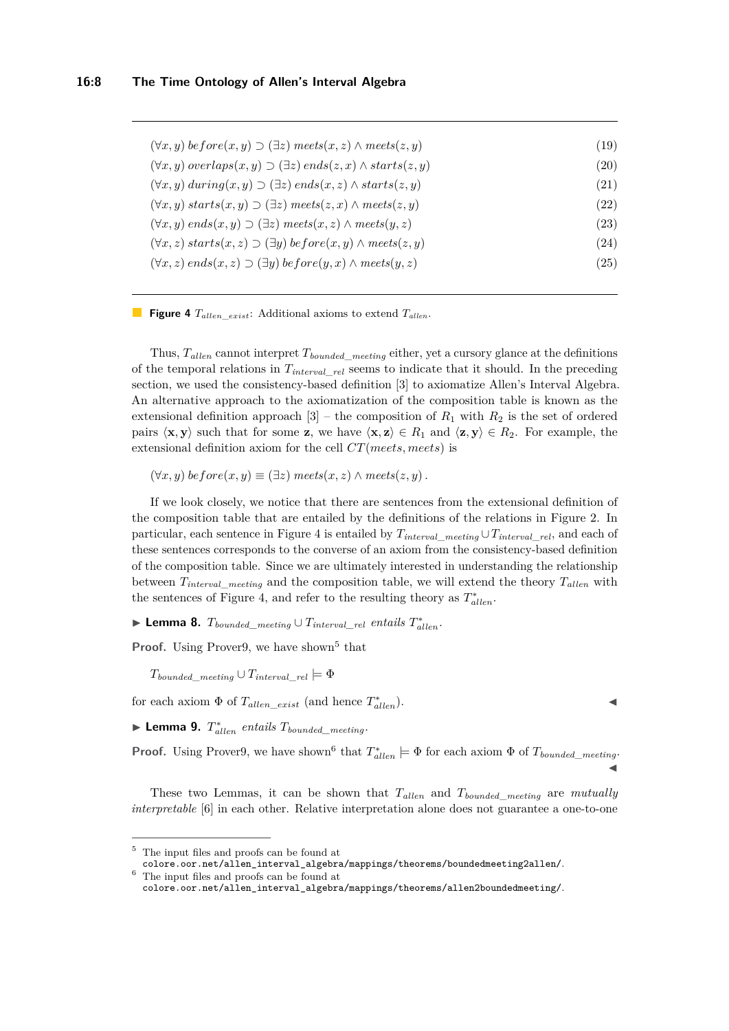<span id="page-7-0"></span>

| $(\forall x, y) \text{ before}(x, y) \supset (\exists z) \text{ meets}(x, z) \land \text{meets}(z, y)$ | (19)               |
|--------------------------------------------------------------------------------------------------------|--------------------|
| $(\forall x, y) \ overlaps(x, y) \supset (\exists z) \ ends(z, x) \wedge starts(z, y)$                 | $\left( 20\right)$ |
| $(\forall x, y)$ during $(x, y) \supset (\exists z)$ ends $(x, z) \wedge starts(z, y)$                 | (21)               |
| $(\forall x, y)$ starts $(x, y) \supset (\exists z)$ meets $(z, x) \wedge \text{meets}(z, y)$          | $\left( 22\right)$ |
| $(\forall x, y)$ ends $(x, y) \supset (\exists z)$ meets $(x, z) \wedge$ meets $(y, z)$                | $\left( 23\right)$ |
| $(\forall x, z)$ starts $(x, z) \supset (\exists y)$ before $(x, y) \wedge meets(z, y)$                | (24)               |
| $(\forall x, z)$ ends $(x, z) \supset (\exists y)$ before $(y, x) \wedge \text{meets}(y, z)$           | $\left( 25\right)$ |
|                                                                                                        |                    |

**Figure 4**  $T_{\text{allen\_exist}}$ : Additional axioms to extend  $T_{\text{allen}}$ .

Thus, *Tal len* cannot interpret *Tbounded*\_*meeting* either, yet a cursory glance at the definitions of the temporal relations in *Tinterval*\_*rel* seems to indicate that it should. In the preceding section, we used the consistency-based definition [\[3\]](#page-14-4) to axiomatize Allen's Interval Algebra. An alternative approach to the axiomatization of the composition table is known as the extensional definition approach  $[3]$  – the composition of  $R_1$  with  $R_2$  is the set of ordered pairs  $\langle \mathbf{x}, \mathbf{y} \rangle$  such that for some **z**, we have  $\langle \mathbf{x}, \mathbf{z} \rangle \in R_1$  and  $\langle \mathbf{z}, \mathbf{y} \rangle \in R_2$ . For example, the extensional definition axiom for the cell *CT*(*meets, meets*) is

 $(\forall x, y)$  *before* $(x, y) \equiv (\exists z)$  *meets* $(x, z) \land$  *meets* $(z, y)$ .

If we look closely, we notice that there are sentences from the extensional definition of the composition table that are entailed by the definitions of the relations in Figure [2.](#page-2-1) In particular, each sentence in Figure [4](#page-7-0) is entailed by  $T_{interval}$   $_{meting} \cup T_{interval}$   $_{rel}$ , and each of these sentences corresponds to the converse of an axiom from the consistency-based definition of the composition table. Since we are ultimately interested in understanding the relationship between *Tinterval*\_*meeting* and the composition table, we will extend the theory *Tal len* with the sentences of Figure [4,](#page-7-0) and refer to the resulting theory as  $T^*_{allen}$ .

<span id="page-7-3"></span>▶ **Lemma 8.**  $T_{bounded\_ meeting} \cup T_{interval\_rel}$  *entails*  $T_{allen}^*$ .

**Proof.** Using Prover<sub>9</sub>, we have shown<sup>[5](#page-7-1)</sup> that

 $T_{bounded\_ meeting} \cup T_{interval\_rel} \models \Phi$ 

for each axiom  $\Phi$  of  $T_{allen\_exist}$  (and hence  $T_{allen}^*$ ).

<span id="page-7-4"></span> $\blacktriangleright$  **Lemma 9.**  $T_{\text{allen}}^*$  entails  $T_{\text{bounded\_merting}}$ .

**Proof.** Using Prover9, we have shown<sup>[6](#page-7-2)</sup> that  $T_{allen}^* \models \Phi$  for each axiom  $\Phi$  of  $T_{bounded\_ meeting}$ .  $\blacktriangleleft$ 

These two Lemmas, it can be shown that  $T_{\text{allen}}$  and  $T_{\text{bounded\_ meeting}}$  are *mutually interpretable* [\[6\]](#page-14-5) in each other. Relative interpretation alone does not guarantee a one-to-one

<span id="page-7-1"></span><sup>5</sup> The input files and proofs can be found at

<span id="page-7-2"></span>[colore.oor.net/allen\\_interval\\_algebra/mappings/theorems/boundedmeeting2allen/](colore.oor.net/allen_interval_algebra/mappings/theorems/boundedmeeting2allen/).  $^6$  The input files and proofs can be found at

[colore.oor.net/allen\\_interval\\_algebra/mappings/theorems/allen2boundedmeeting/](colore.oor.net/allen_interval_algebra/mappings/theorems/allen2boundedmeeting/).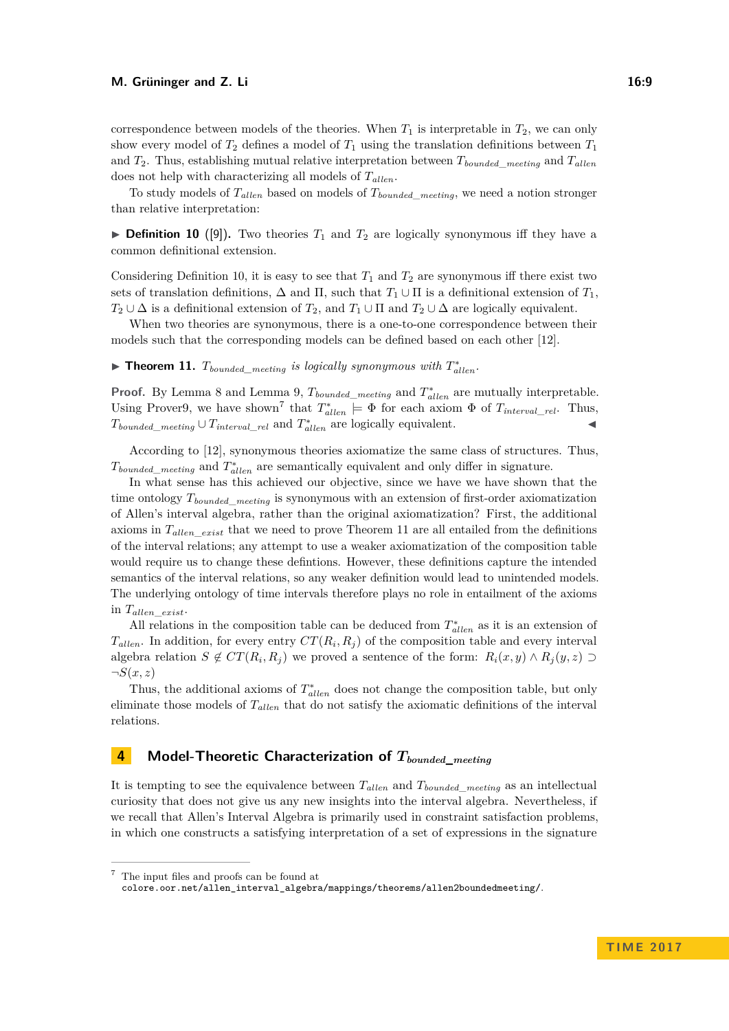#### **M. Grüninger and Z. Li** 16:9

correspondence between models of the theories. When  $T_1$  is interpretable in  $T_2$ , we can only show every model of  $T_2$  defines a model of  $T_1$  using the translation definitions between  $T_1$ and  $T_2$ . Thus, establishing mutual relative interpretation between  $T_{bounded\text{}median}$  and  $T_{allen}$ does not help with characterizing all models of  $T_{\text{allen}}$ .

To study models of *Tal len* based on models of *Tbounded*\_*meeting*, we need a notion stronger than relative interpretation:

<span id="page-8-1"></span>**Definition 10** ([\[9\]](#page-15-2)). Two theories  $T_1$  and  $T_2$  are logically synonymous iff they have a common definitional extension.

Considering Definition [10,](#page-8-1) it is easy to see that  $T_1$  and  $T_2$  are synonymous iff there exist two sets of translation definitions,  $\Delta$  and  $\Pi$ , such that  $T_1 \cup \Pi$  is a definitional extension of  $T_1$ ,  $T_2 \cup \Delta$  is a definitional extension of  $T_2$ , and  $T_1 \cup \Pi$  and  $T_2 \cup \Delta$  are logically equivalent.

When two theories are synonymous, there is a one-to-one correspondence between their models such that the corresponding models can be defined based on each other [\[12\]](#page-15-4).

<span id="page-8-3"></span>▶ **Theorem 11.**  $T_{bounded\_ meeting}$  is logically synonymous with  $T_{allen}^*$ .

**Proof.** By Lemma [8](#page-7-3) and Lemma [9,](#page-7-4)  $T_{bounded\_ meeting}$  and  $T_{allen}^*$  are mutually interpretable. Using Prover9, we have shown<sup>[7](#page-8-2)</sup> that  $T_{allen}^* \models \Phi$  for each axiom  $\Phi$  of  $T_{interval\_rel}$ . Thus,  $T_{bounded\_ meeting} \cup T_{interval\_rel}$  and  $T_{allen}^*$  are logically equivalent.

According to [\[12\]](#page-15-4), synonymous theories axiomatize the same class of structures. Thus,  $T_{bounded\_ meeting}$  and  $T_{allen}^*$  are semantically equivalent and only differ in signature.

In what sense has this achieved our objective, since we have we have shown that the time ontology *Tbounded*\_*meeting* is synonymous with an extension of first-order axiomatization of Allen's interval algebra, rather than the original axiomatization? First, the additional axioms in *Tallen*\_*exist* that we need to prove Theorem [11](#page-8-3) are all entailed from the definitions of the interval relations; any attempt to use a weaker axiomatization of the composition table would require us to change these defintions. However, these definitions capture the intended semantics of the interval relations, so any weaker definition would lead to unintended models. The underlying ontology of time intervals therefore plays no role in entailment of the axioms in *Tallen*\_*exist*.

All relations in the composition table can be deduced from  $T_{allen}^*$  as it is an extension of  $T_{\text{allen}}$ . In addition, for every entry  $CT(R_i, R_j)$  of the composition table and every interval algebra relation  $S \notin CT(R_i, R_j)$  we proved a sentence of the form:  $R_i(x, y) \wedge R_j(y, z) \supset$  $\neg S(x,z)$ 

Thus, the additional axioms of  $T_{allen}^*$  does not change the composition table, but only eliminate those models of  $T_{allen}$  that do not satisfy the axiomatic definitions of the interval relations.

# <span id="page-8-0"></span>**4 Model-Theoretic Characterization of** *Tbounded***\_***meeting*

It is tempting to see the equivalence between  $T_{\text{allen}}$  and  $T_{\text{bounded}}$  *meeting* as an intellectual curiosity that does not give us any new insights into the interval algebra. Nevertheless, if we recall that Allen's Interval Algebra is primarily used in constraint satisfaction problems, in which one constructs a satisfying interpretation of a set of expressions in the signature

<span id="page-8-2"></span><sup>7</sup> The input files and proofs can be found at [colore.oor.net/allen\\_interval\\_algebra/mappings/theorems/allen2boundedmeeting/](colore.oor.net/allen_interval_algebra/mappings/theorems/allen2boundedmeeting/).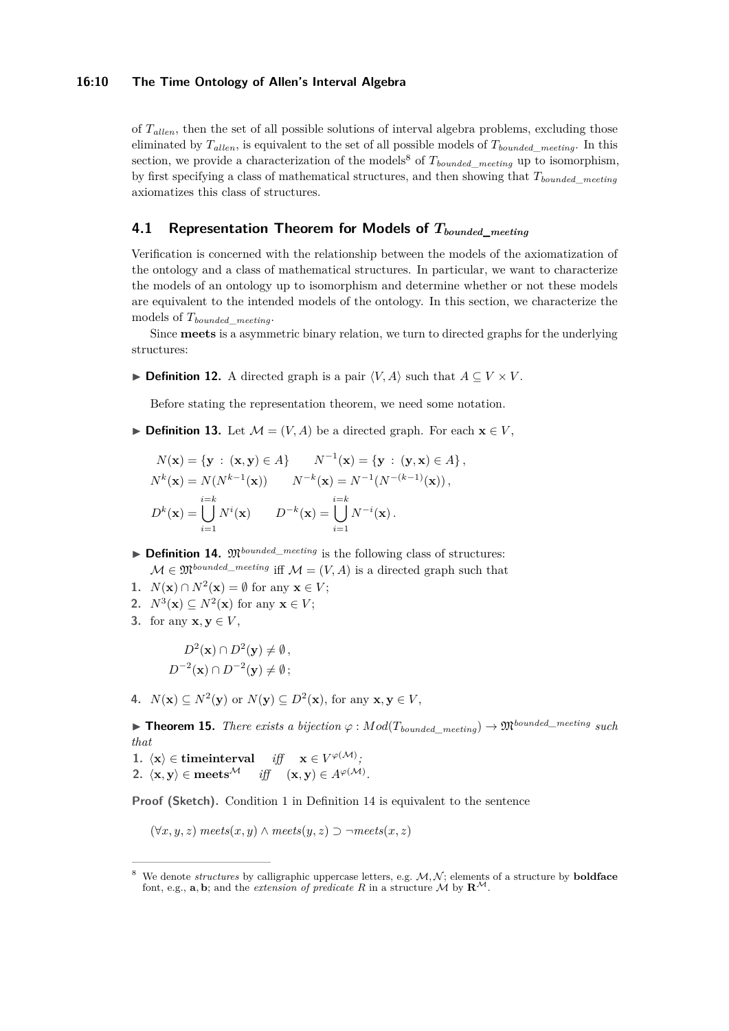#### **16:10 The Time Ontology of Allen's Interval Algebra**

of  $T_{\text{allen}}$ , then the set of all possible solutions of interval algebra problems, excluding those eliminated by  $T_{\text{allen}}$ , is equivalent to the set of all possible models of  $T_{\text{bounded}}$  meeting. In this section, we provide a characterization of the models<sup>[8](#page-9-0)</sup> of  $T_{bounded\ meeting}$  up to isomorphism, by first specifying a class of mathematical structures, and then showing that *Tbounded*\_*meeting* axiomatizes this class of structures.

# **4.1 Representation Theorem for Models of** *Tbounded***\_***meeting*

Verification is concerned with the relationship between the models of the axiomatization of the ontology and a class of mathematical structures. In particular, we want to characterize the models of an ontology up to isomorphism and determine whether or not these models are equivalent to the intended models of the ontology. In this section, we characterize the models of *Tbounded*\_*meeting*.

Since **meets** is a asymmetric binary relation, we turn to directed graphs for the underlying structures:

▶ **Definition 12.** A directed graph is a pair  $\langle V, A \rangle$  such that  $A \subseteq V \times V$ .

Before stating the representation theorem, we need some notation.

**► Definition 13.** Let  $M = (V, A)$  be a directed graph. For each  $\mathbf{x} \in V$ ,

$$
N(\mathbf{x}) = \{ \mathbf{y} : (\mathbf{x}, \mathbf{y}) \in A \} \qquad N^{-1}(\mathbf{x}) = \{ \mathbf{y} : (\mathbf{y}, \mathbf{x}) \in A \},
$$
  
\n
$$
N^{k}(\mathbf{x}) = N(N^{k-1}(\mathbf{x})) \qquad N^{-k}(\mathbf{x}) = N^{-1}(N^{-(k-1)}(\mathbf{x})),
$$
  
\n
$$
D^{k}(\mathbf{x}) = \bigcup_{i=1}^{i=k} N^{i}(\mathbf{x}) \qquad D^{-k}(\mathbf{x}) = \bigcup_{i=1}^{i=k} N^{-i}(\mathbf{x}).
$$

 $\triangleright$  **Definition 14.**  $\mathfrak{M}^{bounded\_merting}$  is the following class of structures:

 $\mathcal{M} \in \mathfrak{M}^{bounded\_merting}$  iff  $\mathcal{M} = (V, A)$  is a directed graph such that

- **1.** *N*(**x**) ∩ *N*<sup>2</sup>(**x**) = ∅ for any **x** ∈ *V*;
- 2.  $N^3(\mathbf{x}) \subseteq N^2(\mathbf{x})$  for any  $\mathbf{x} \in V$ ;
- **3.** for any  $\mathbf{x}, \mathbf{y} \in V$ ,

$$
D^{2}(\mathbf{x}) \cap D^{2}(\mathbf{y}) \neq \emptyset,
$$
  

$$
D^{-2}(\mathbf{x}) \cap D^{-2}(\mathbf{y}) \neq \emptyset;
$$

<span id="page-9-1"></span>4.  $N(\mathbf{x}) \subseteq N^2(\mathbf{y})$  or  $N(\mathbf{y}) \subseteq D^2(\mathbf{x})$ , for any  $\mathbf{x}, \mathbf{y} \in V$ ,

<span id="page-9-2"></span>**► Theorem 15.** *There exists a bijection*  $\varphi$  :  $Mod(T_{bounded \ meeting}) \rightarrow \mathfrak{M}^{bounded\_mering \ such}$ *that*

 $1. \ \langle \mathbf{x} \rangle \in \mathbf{timeinterval} \ \ \ \ \textit{iff} \ \ \ \ \mathbf{x} \in V^{\varphi(\mathcal{M})};$ **2.**  $\langle \mathbf{x}, \mathbf{y} \rangle \in \mathbf{meets}^{\mathcal{M}}$  *iff*  $(\mathbf{x}, \mathbf{y}) \in A^{\varphi(\mathcal{M})}$ *.* 

**Proof (Sketch).** Condition 1 in Definition [14](#page-9-1) is equivalent to the sentence

(∀*x, y, z*) *meets*(*x, y*) ∧ *meets*(*y, z*) ⊃ ¬*meets*(*x, z*)

<span id="page-9-0"></span><sup>&</sup>lt;sup>8</sup> We denote *structures* by calligraphic uppercase letters, e.g.  $M, N$ ; elements of a structure by **boldface** font, e.g., **a**, **b**; and the *extension of predicate R* in a structure *M* by  $\mathbf{R}^M$ .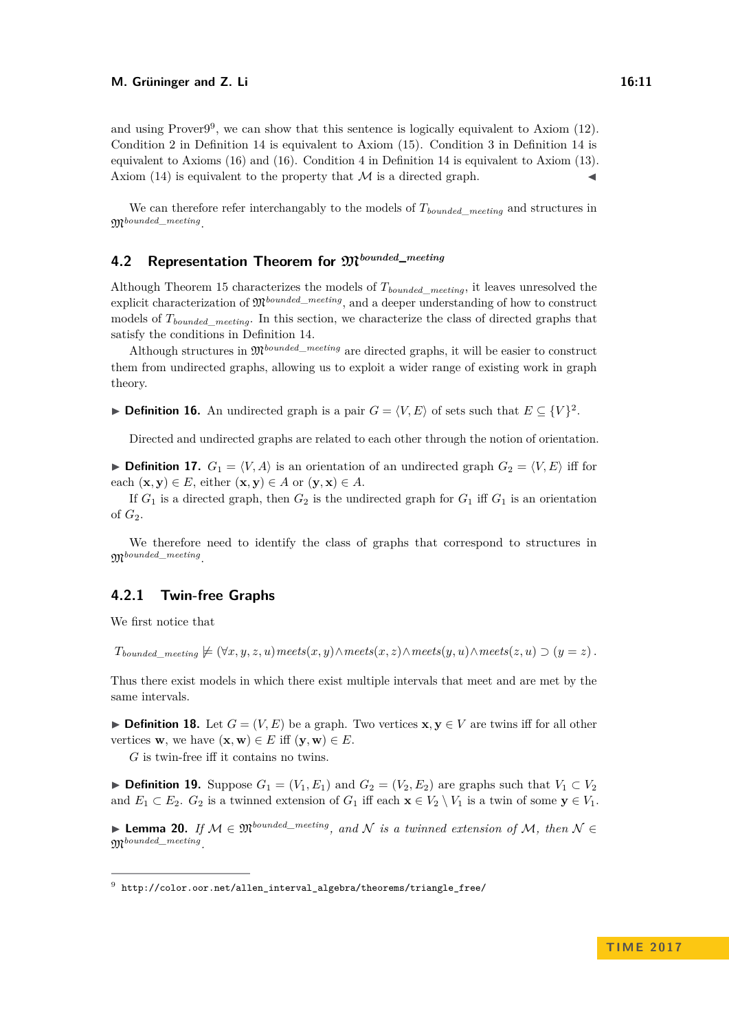We can therefore refer interchangably to the models of *Tbounded*\_*meeting* and structures in M*bounded*\_*meeting* .

# **4.2 Representation Theorem for** M*bounded***\_***meeting*

Although Theorem [15](#page-9-2) characterizes the models of *Tbounded*\_*meeting*, it leaves unresolved the explicit characterization of  $\mathfrak{M}^{bounded\_mering}$ , and a deeper understanding of how to construct models of  $T_{bounded\ meeting}$ . In this section, we characterize the class of directed graphs that satisfy the conditions in Definition [14.](#page-9-1)

Although structures in M*bounded*\_*meeting* are directed graphs, it will be easier to construct them from undirected graphs, allowing us to exploit a wider range of existing work in graph theory.

**► Definition 16.** An undirected graph is a pair  $G = \langle V, E \rangle$  of sets such that  $E \subseteq \{V\}^2$ .

Directed and undirected graphs are related to each other through the notion of orientation.

**Definition 17.**  $G_1 = \langle V, A \rangle$  is an orientation of an undirected graph  $G_2 = \langle V, E \rangle$  iff for each  $(\mathbf{x}, \mathbf{y}) \in E$ , either  $(\mathbf{x}, \mathbf{y}) \in A$  or  $(\mathbf{y}, \mathbf{x}) \in A$ .

If  $G_1$  is a directed graph, then  $G_2$  is the undirected graph for  $G_1$  iff  $G_1$  is an orientation of *G*2.

We therefore need to identify the class of graphs that correspond to structures in M*bounded*\_*meeting* .

# **4.2.1 Twin-free Graphs**

We first notice that

 $T_{bounded\_meting} \neq (\forall x, y, z, u)$  meets $(x, y) \land$  meets $(x, z) \land$  meets $(y, u) \land$  meets $(z, u) \supset (y = z)$ .

Thus there exist models in which there exist multiple intervals that meet and are met by the same intervals.

**► Definition 18.** Let  $G = (V, E)$  be a graph. Two vertices  $\mathbf{x}, \mathbf{y} \in V$  are twins iff for all other vertices **w**, we have  $(\mathbf{x}, \mathbf{w}) \in E$  iff  $(\mathbf{y}, \mathbf{w}) \in E$ .

*G* is twin-free iff it contains no twins.

▶ **Definition 19.** Suppose  $G_1 = (V_1, E_1)$  and  $G_2 = (V_2, E_2)$  are graphs such that  $V_1 \subset V_2$ and  $E_1 \subset E_2$ .  $G_2$  is a twinned extension of  $G_1$  iff each  $\mathbf{x} \in V_2 \setminus V_1$  is a twin of some  $\mathbf{y} \in V_1$ .

I **Lemma 20.** *If* M ∈ M*bounded\_meeting, and* N *is a twinned extension of* M*, then* N ∈ M*bounded\_meeting .*

<span id="page-10-0"></span><sup>9</sup> [http://color.oor.net/allen\\_interval\\_algebra/theorems/triangle\\_free/](http://color.oor.net/allen_interval_algebra/theorems/triangle_free/)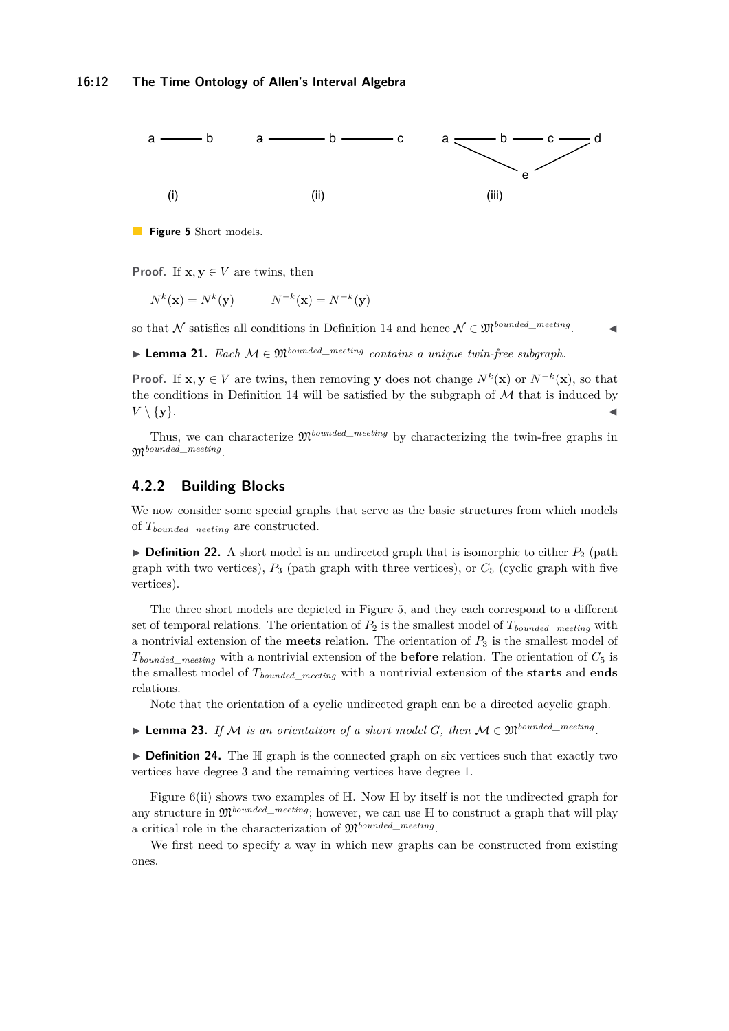<span id="page-11-0"></span>

**Figure 5** Short models.

**Proof.** If  $x, y \in V$  are twins, then

$$
N^k(\mathbf{x}) = N^k(\mathbf{y}) \qquad N^{-k}(\mathbf{x}) = N^{-k}(\mathbf{y})
$$

so that  $\mathcal{N}$  satisfies all conditions in Definition [14](#page-9-1) and hence  $\mathcal{N} \in \mathfrak{M}^{bounded\_ meeting}$ .  $\mathbf{I}$ 

**► Lemma 21.** *Each*  $M \in \mathfrak{M}^{bounded\_mering}$  *contains a unique twin-free subgraph.* 

**Proof.** If **x**, **y** ∈ *V* are twins, then removing **y** does not change  $N^k(\mathbf{x})$  or  $N^{-k}(\mathbf{x})$ , so that the conditions in Definition [14](#page-9-1) will be satisfied by the subgraph of  $M$  that is induced by  $V \setminus \{y\}.$ 

Thus, we can characterize  $\mathfrak{M}^{bounded\_merting}$  by characterizing the twin-free graphs in M*bounded*\_*meeting* .

### **4.2.2 Building Blocks**

We now consider some special graphs that serve as the basic structures from which models of *Tbounded*\_*neeting* are constructed.

**Definition 22.** A short model is an undirected graph that is isomorphic to either  $P_2$  (path graph with two vertices), *P*<sup>3</sup> (path graph with three vertices), or *C*<sup>5</sup> (cyclic graph with five vertices).

The three short models are depicted in Figure [5,](#page-11-0) and they each correspond to a different set of temporal relations. The orientation of  $P_2$  is the smallest model of  $T_{bounded\ meeting}$  with a nontrivial extension of the **meets** relation. The orientation of *P*<sup>3</sup> is the smallest model of  $T_{bounded\_ meeting}$  with a nontrivial extension of the **before** relation. The orientation of  $C_5$  is the smallest model of *Tbounded*\_*meeting* with a nontrivial extension of the **starts** and **ends** relations.

Note that the orientation of a cyclic undirected graph can be a directed acyclic graph.

<span id="page-11-1"></span>▶ Lemma 23. If M is an orientation of a short model G, then  $M \in \mathfrak{M}^{bounded\_mering}$ .

▶ Definition 24. The H graph is the connected graph on six vertices such that exactly two vertices have degree 3 and the remaining vertices have degree 1.

Figure [6\(](#page-12-0)ii) shows two examples of  $\mathbb H$ . Now  $\mathbb H$  by itself is not the undirected graph for any structure in  $\mathfrak{M}^{bounded\_merting}$ ; however, we can use  $\mathbb H$  to construct a graph that will play a critical role in the characterization of M*bounded*\_*meeting* .

We first need to specify a way in which new graphs can be constructed from existing ones.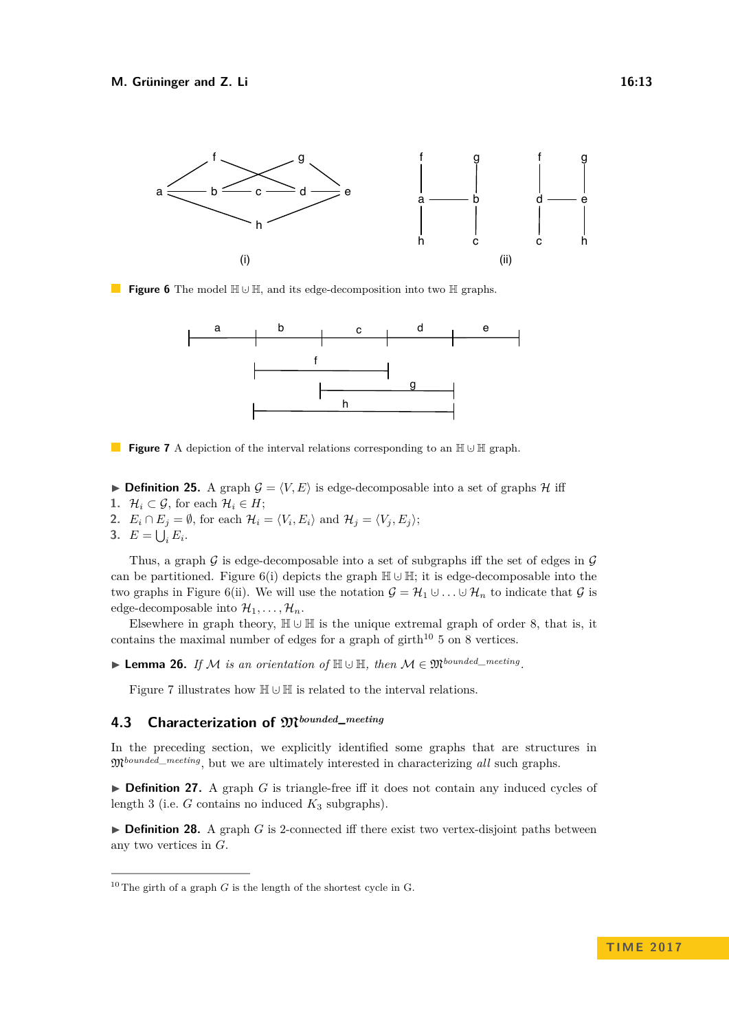<span id="page-12-0"></span>

<span id="page-12-2"></span>**Figure 6** The model  $\mathbb{H} \cup \mathbb{H}$ , and its edge-decomposition into two  $\mathbb{H}$  graphs.



**Figure 7** A depiction of the interval relations corresponding to an  $\mathbb{H} \cup \mathbb{H}$  graph.

- **Definition 25.** A graph  $\mathcal{G} = \langle V, E \rangle$  is edge-decomposable into a set of graphs  $\mathcal{H}$  iff
- **1.**  $\mathcal{H}_i \subset \mathcal{G}$ , for each  $\mathcal{H}_i \in H$ ;
- **2.**  $E_i \cap E_j = \emptyset$ , for each  $\mathcal{H}_i = \langle V_i, E_i \rangle$  and  $\mathcal{H}_j = \langle V_j, E_j \rangle$ ;
- **3.**  $E = \bigcup_i E_i$ .

Thus, a graph  $\mathcal G$  is edge-decomposable into a set of subgraphs iff the set of edges in  $\mathcal G$ can be partitioned. Figure [6\(](#page-12-0)i) depicts the graph  $\mathbb{H} \cup \mathbb{H}$ ; it is edge-decomposable into the two graphs in Figure [6\(](#page-12-0)ii). We will use the notation  $\mathcal{G} = \mathcal{H}_1 \cup \ldots \cup \mathcal{H}_n$  to indicate that  $\mathcal{G}$  is edge-decomposable into  $\mathcal{H}_1, \ldots, \mathcal{H}_n$ .

Elsewhere in graph theory,  $\mathbb{H} \cup \mathbb{H}$  is the unique extremal graph of order 8, that is, it contains the maximal number of edges for a graph of  $girth^{10} 5$  $girth^{10} 5$  $girth^{10} 5$  on 8 vertices.

▶ Lemma 26. *If M is an orientation of*  $\mathbb{H} \cup \mathbb{H}$ *, then*  $M \in \mathfrak{M}^{bounded\_mering}$ *.* 

Figure [7](#page-12-2) illustrates how  $\mathbb{H} \cup \mathbb{H}$  is related to the interval relations.

# **4.3 Characterization of** M*bounded***\_***meeting*

In the preceding section, we explicitly identified some graphs that are structures in M*bounded*\_*meeting*, but we are ultimately interested in characterizing *all* such graphs.

▶ Definition 27. A graph *G* is triangle-free iff it does not contain any induced cycles of length 3 (i.e.  $G$  contains no induced  $K_3$  subgraphs).

 $\triangleright$  **Definition 28.** A graph *G* is 2-connected iff there exist two vertex-disjoint paths between any two vertices in *G*.

<span id="page-12-1"></span><sup>&</sup>lt;sup>10</sup> The girth of a graph *G* is the length of the shortest cycle in G.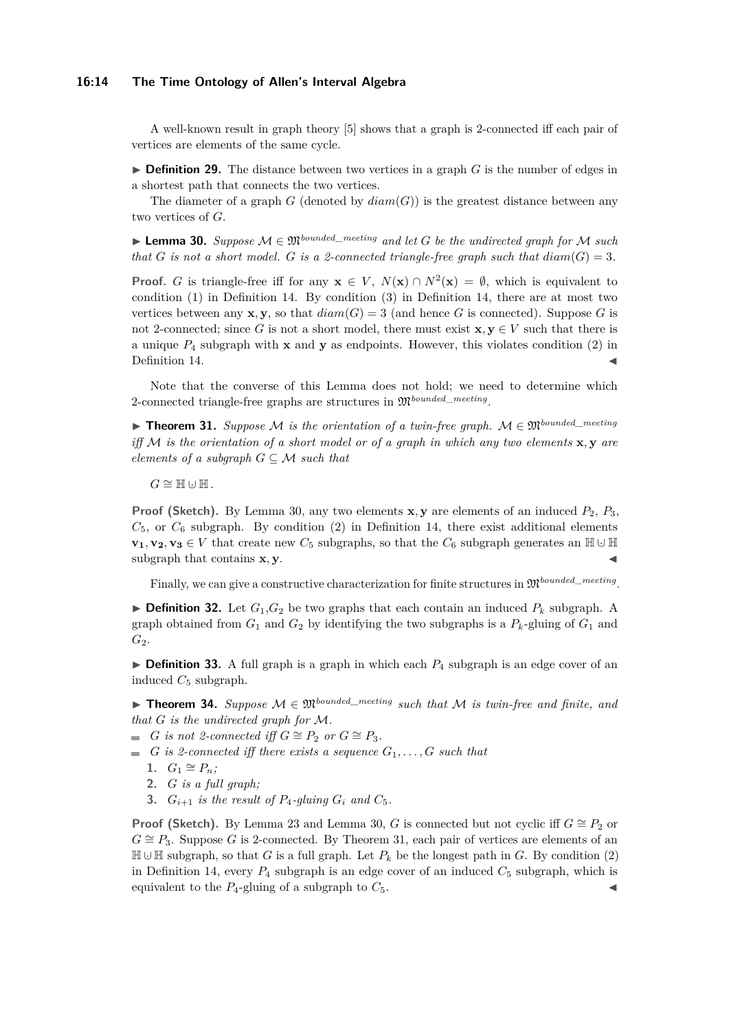#### **16:14 The Time Ontology of Allen's Interval Algebra**

A well-known result in graph theory [\[5\]](#page-14-7) shows that a graph is 2-connected iff each pair of vertices are elements of the same cycle.

 $\triangleright$  **Definition 29.** The distance between two vertices in a graph *G* is the number of edges in a shortest path that connects the two vertices.

The diameter of a graph  $G$  (denoted by  $diam(G)$ ) is the greatest distance between any two vertices of *G*.

<span id="page-13-0"></span>**► Lemma 30.** Suppose  $M \in \mathfrak{M}^{bounded\_mering}$  and let G be the undirected graph for M such *that G is not a short model. G is a 2-connected triangle-free graph such that*  $diam(G) = 3$ *.* 

**Proof.** *G* is triangle-free iff for any  $\mathbf{x} \in V$ ,  $N(\mathbf{x}) \cap N^2(\mathbf{x}) = \emptyset$ , which is equivalent to condition  $(1)$  in Definition [14.](#page-9-1) By condition  $(3)$  in Definition [14,](#page-9-1) there are at most two vertices between any **x**, **y**, so that  $diam(G) = 3$  (and hence *G* is connected). Suppose *G* is not 2-connected; since G is not a short model, there must exist  $\mathbf{x}, \mathbf{y} \in V$  such that there is a unique *P*<sup>4</sup> subgraph with **x** and **y** as endpoints. However, this violates condition (2) in Definition [14.](#page-9-1)

Note that the converse of this Lemma does not hold; we need to determine which 2-connected triangle-free graphs are structures in M*bounded*\_*meeting* .

<span id="page-13-1"></span>I **Theorem 31.** *Suppose* M *is the orientation of a twin-free graph.* M ∈ M*bounded\_meeting iff* M *is the orientation of a short model or of a graph in which any two elements* **x***,* **y** *are elements of a subgraph*  $G \subseteq \mathcal{M}$  *such that* 

 $G \cong \mathbb{H} \cup \mathbb{H}$ .

**Proof (Sketch).** By Lemma [30,](#page-13-0) any two elements **x**, **y** are elements of an induced  $P_2$ ,  $P_3$ ,  $C_5$ , or  $C_6$  subgraph. By condition (2) in Definition [14,](#page-9-1) there exist additional elements **v**<sub>1</sub>*,* **v**<sub>2</sub>*,* **v**<sub>3</sub> ∈ *V* that create new  $C_5$  subgraphs, so that the  $C_6$  subgraph generates an H ∪ H subgraph that contains **x**, **y**.

Finally, we can give a constructive characterization for finite structures in  $\mathfrak{M}^{bounded\_ meeting}$ .

 $\triangleright$  **Definition 32.** Let  $G_1, G_2$  be two graphs that each contain an induced  $P_k$  subgraph. A graph obtained from  $G_1$  and  $G_2$  by identifying the two subgraphs is a  $P_k$ -gluing of  $G_1$  and  $G_2$ .

► **Definition 33.** A full graph is a graph in which each  $P_4$  subgraph is an edge cover of an induced  $C_5$  subgraph.

**► Theorem 34.** Suppose  $M \in \mathfrak{M}^{bounded\_merting}$  such that M is twin-free and finite, and *that G is the undirected graph for* M*.*

■ *G is not 2-connected iff*  $G \cong P_2$  *or*  $G \cong P_3$ *.* 

- $G$  *is 2-connected iff there exists a sequence*  $G_1, \ldots, G$  *such that* 
	- **1.**  $G_1 \cong P_n$ ;
	- **2.** *G is a full graph;*
	- **3.**  $G_{i+1}$  is the result of  $P_4$ -gluing  $G_i$  and  $C_5$ .

**Proof (Sketch).** By Lemma [23](#page-11-1) and Lemma [30,](#page-13-0) *G* is connected but not cyclic iff  $G \cong P_2$  or  $G \cong P_3$ . Suppose *G* is 2-connected. By Theorem [31,](#page-13-1) each pair of vertices are elements of an  $\mathbb{H} \cup \mathbb{H}$  subgraph, so that *G* is a full graph. Let  $P_k$  be the longest path in *G*. By condition (2) in Definition [14,](#page-9-1) every  $P_4$  subgraph is an edge cover of an induced  $C_5$  subgraph, which is equivalent to the  $P_4$ -gluing of a subgraph to  $C_5$ .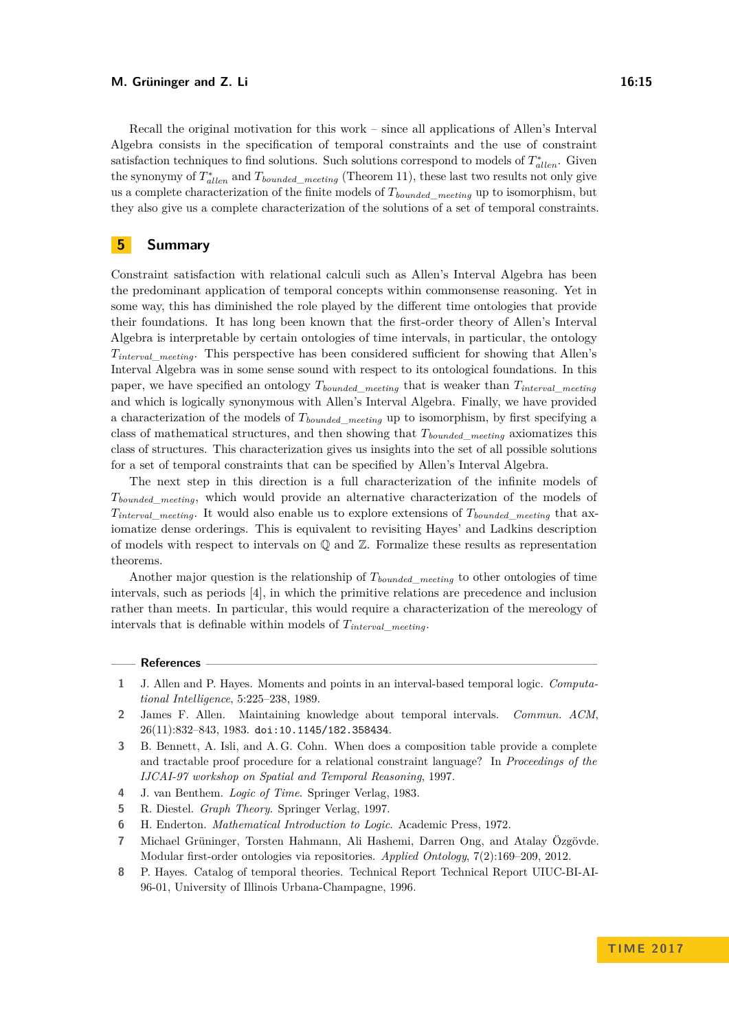#### **M. Grüninger and Z. Li 16:15**

Recall the original motivation for this work – since all applications of Allen's Interval Algebra consists in the specification of temporal constraints and the use of constraint satisfaction techniques to find solutions. Such solutions correspond to models of  $T_{\text{allen}}^*$ . Given the synonymy of  $T^*_{allen}$  and  $T_{bounded\_ meeting}$  (Theorem [11\)](#page-8-3), these last two results not only give us a complete characterization of the finite models of *Tbounded*\_*meeting* up to isomorphism, but they also give us a complete characterization of the solutions of a set of temporal constraints.

### **5 Summary**

Constraint satisfaction with relational calculi such as Allen's Interval Algebra has been the predominant application of temporal concepts within commonsense reasoning. Yet in some way, this has diminished the role played by the different time ontologies that provide their foundations. It has long been known that the first-order theory of Allen's Interval Algebra is interpretable by certain ontologies of time intervals, in particular, the ontology *Tinterval*\_*meeting*. This perspective has been considered sufficient for showing that Allen's Interval Algebra was in some sense sound with respect to its ontological foundations. In this paper, we have specified an ontology  $T_{bounded\ meeting}$  that is weaker than  $T_{interval\ meeting}$ and which is logically synonymous with Allen's Interval Algebra. Finally, we have provided a characterization of the models of *Tbounded*\_*meeting* up to isomorphism, by first specifying a class of mathematical structures, and then showing that *Tbounded*\_*meeting* axiomatizes this class of structures. This characterization gives us insights into the set of all possible solutions for a set of temporal constraints that can be specified by Allen's Interval Algebra.

The next step in this direction is a full characterization of the infinite models of *Tbounded*\_*meeting*, which would provide an alternative characterization of the models of *T*<sub>interval</sub> meeting. It would also enable us to explore extensions of  $T_{bounded\_ meeting}$  that axiomatize dense orderings. This is equivalent to revisiting Hayes' and Ladkins description of models with respect to intervals on  $\mathbb Q$  and  $\mathbb Z$ . Formalize these results as representation theorems.

Another major question is the relationship of *Tbounded*\_*meeting* to other ontologies of time intervals, such as periods [\[4\]](#page-14-1), in which the primitive relations are precedence and inclusion rather than meets. In particular, this would require a characterization of the mereology of intervals that is definable within models of *Tinterval*\_*meeting*.

#### **References**

- <span id="page-14-3"></span>**1** J. Allen and P. Hayes. Moments and points in an interval-based temporal logic. *Computational Intelligence*, 5:225–238, 1989.
- <span id="page-14-0"></span>**2** James F. Allen. Maintaining knowledge about temporal intervals. *Commun. ACM*, 26(11):832–843, 1983. [doi:10.1145/182.358434](http://dx.doi.org/10.1145/182.358434).
- <span id="page-14-4"></span>**3** B. Bennett, A. Isli, and A. G. Cohn. When does a composition table provide a complete and tractable proof procedure for a relational constraint language? In *Proceedings of the IJCAI-97 workshop on Spatial and Temporal Reasoning*, 1997.
- <span id="page-14-1"></span>**4** J. van Benthem. *Logic of Time*. Springer Verlag, 1983.
- <span id="page-14-7"></span>**5** R. Diestel. *Graph Theory*. Springer Verlag, 1997.
- <span id="page-14-5"></span>**6** H. Enderton. *Mathematical Introduction to Logic*. Academic Press, 1972.
- <span id="page-14-6"></span>**7** Michael Grüninger, Torsten Hahmann, Ali Hashemi, Darren Ong, and Atalay Özgövde. Modular first-order ontologies via repositories. *Applied Ontology*, 7(2):169–209, 2012.
- <span id="page-14-2"></span>**8** P. Hayes. Catalog of temporal theories. Technical Report Technical Report UIUC-BI-AI-96-01, University of Illinois Urbana-Champagne, 1996.